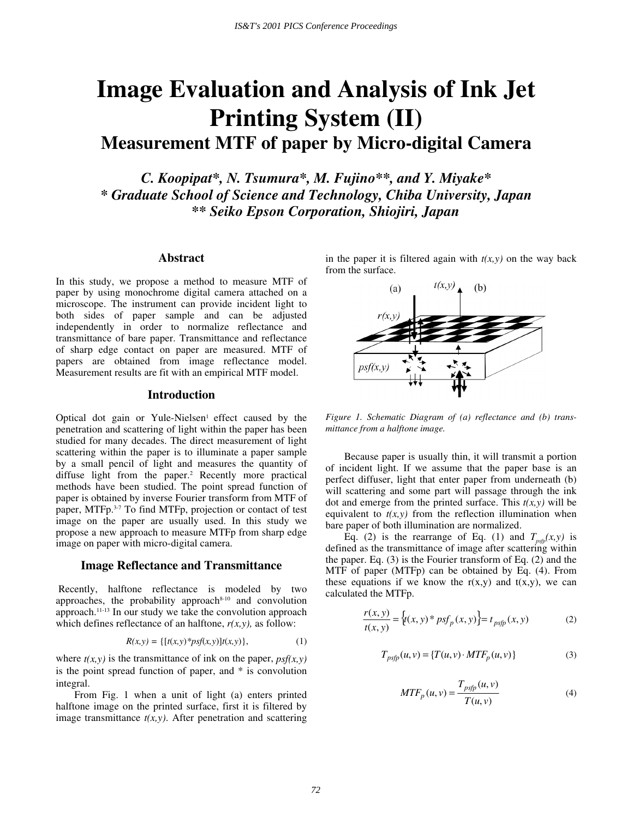# **Image Evaluation and Analysis of Ink Jet Printing System (II) Measurement MTF of paper by Micro-digital Camera**

*C. Koopipat\*, N. Tsumura\*, M. Fujino\*\*, and Y. Miyake\* \* Graduate School of Science and Technology, Chiba University, Japan \*\* Seiko Epson Corporation, Shiojiri, Japan* 

### **Abstract**

In this study, we propose a method to measure MTF of paper by using monochrome digital camera attached on a microscope. The instrument can provide incident light to both sides of paper sample and can be adjusted independently in order to normalize reflectance and transmittance of bare paper. Transmittance and reflectance of sharp edge contact on paper are measured. MTF of papers are obtained from image reflectance model. Measurement results are fit with an empirical MTF model.

#### **Introduction**

Optical dot gain or Yule-Nielsen<sup>1</sup> effect caused by the penetration and scattering of light within the paper has been studied for many decades. The direct measurement of light scattering within the paper is to illuminate a paper sample by a small pencil of light and measures the quantity of diffuse light from the paper.2 Recently more practical methods have been studied. The point spread function of paper is obtained by inverse Fourier transform from MTF of paper, MTFp.3-7 To find MTFp, projection or contact of test image on the paper are usually used. In this study we propose a new approach to measure MTFp from sharp edge image on paper with micro-digital camera.

### **Image Reflectance and Transmittance**

 Recently, halftone reflectance is modeled by two approaches, the probability approach<sup>8-10</sup> and convolution approach.11-13 In our study we take the convolution approach which defines reflectance of an halftone,  $r(x, y)$ , as follow:

$$
R(x, y) = \{ [t(x, y) * psf(x, y)]t(x, y) \},
$$
 (1)

where  $t(x, y)$  is the transmittance of ink on the paper,  $psf(x, y)$ is the point spread function of paper, and \* is convolution integral.

From Fig. 1 when a unit of light (a) enters printed halftone image on the printed surface, first it is filtered by image transmittance  $t(x, y)$ . After penetration and scattering in the paper it is filtered again with  $t(x,y)$  on the way back from the surface.



*Figure 1. Schematic Diagram of (a) reflectance and (b) transmittance from a halftone image.* 

Because paper is usually thin, it will transmit a portion of incident light. If we assume that the paper base is an perfect diffuser, light that enter paper from underneath (b) will scattering and some part will passage through the ink dot and emerge from the printed surface. This  $t(x, y)$  will be equivalent to  $t(x, y)$  from the reflection illumination when bare paper of both illumination are normalized.

Eq. (2) is the rearrange of Eq. (1) and  $T_{psfp}(x,y)$  is defined as the transmittance of image after scattering within the paper. Eq. (3) is the Fourier transform of Eq. (2) and the MTF of paper (MTFp) can be obtained by Eq. (4). From these equations if we know the  $r(x,y)$  and  $t(x,y)$ , we can calculated the MTFp.

$$
\frac{r(x, y)}{t(x, y)} = \{t(x, y) * psf_p(x, y)\} = t_{psfp}(x, y)
$$
\n(2)

$$
T_{psfp}(u,v) = \{T(u,v) \cdot MTF_p(u,v)\}\tag{3}
$$

$$
MTF_p(u, v) = \frac{T_{psfp}(u, v)}{T(u, v)}
$$
(4)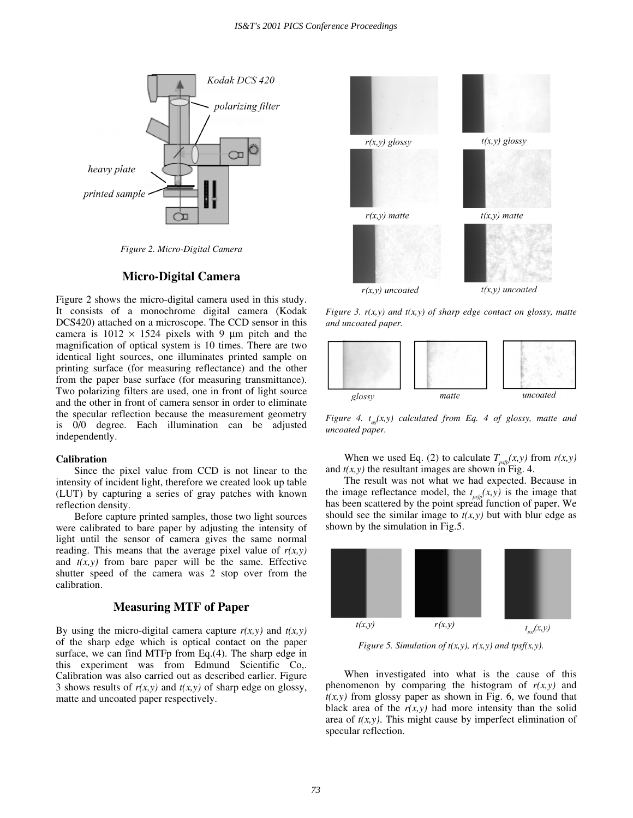

*Figure 2. Micro-Digital Camera* 

## **Micro-Digital Camera**

Figure 2 shows the micro-digital camera used in this study. It consists of a monochrome digital camera (Kodak DCS420) attached on a microscope. The CCD sensor in this camera is  $1012 \times 1524$  pixels with 9 µm pitch and the magnification of optical system is 10 times. There are two identical light sources, one illuminates printed sample on printing surface (for measuring reflectance) and the other from the paper base surface (for measuring transmittance). Two polarizing filters are used, one in front of light source and the other in front of camera sensor in order to eliminate the specular reflection because the measurement geometry is 0/0 degree. Each illumination can be adjusted independently.

#### **Calibration**

Since the pixel value from CCD is not linear to the intensity of incident light, therefore we created look up table (LUT) by capturing a series of gray patches with known reflection density.

Before capture printed samples, those two light sources were calibrated to bare paper by adjusting the intensity of light until the sensor of camera gives the same normal reading. This means that the average pixel value of  $r(x, y)$ and  $t(x, y)$  from bare paper will be the same. Effective shutter speed of the camera was 2 stop over from the calibration.

## **Measuring MTF of Paper**

By using the micro-digital camera capture  $r(x, y)$  and  $t(x, y)$ of the sharp edge which is optical contact on the paper surface, we can find MTFp from Eq.(4). The sharp edge in this experiment was from Edmund Scientific Co,. Calibration was also carried out as described earlier. Figure 3 shows results of  $r(x, y)$  and  $t(x, y)$  of sharp edge on glossy, matte and uncoated paper respectively.



*Figure 3. r(x,y) and t(x,y) of sharp edge contact on glossy, matte and uncoated paper.* 



*Figure 4. t<sub>sp</sub>* $(x, y)$  *calculated from Eq. 4 of glossy, matte and uncoated paper.* 

When we used Eq. (2) to calculate  $T_{psfp}(x, y)$  from  $r(x, y)$ and  $t(x, y)$  the resultant images are shown in Fig. 4.

The result was not what we had expected. Because in the image reflectance model, the  $t_{\text{psfp}}(x, y)$  is the image that has been scattered by the point spread function of paper. We should see the similar image to  $t(x, y)$  but with blur edge as shown by the simulation in Fig.5.



*Figure 5. Simulation of t(x,y), r(x,y) and tpsf(x,y).* 

When investigated into what is the cause of this phenomenon by comparing the histogram of  $r(x, y)$  and  $t(x, y)$  from glossy paper as shown in Fig. 6, we found that black area of the  $r(x, y)$  had more intensity than the solid area of *t(x,y)*. This might cause by imperfect elimination of specular reflection.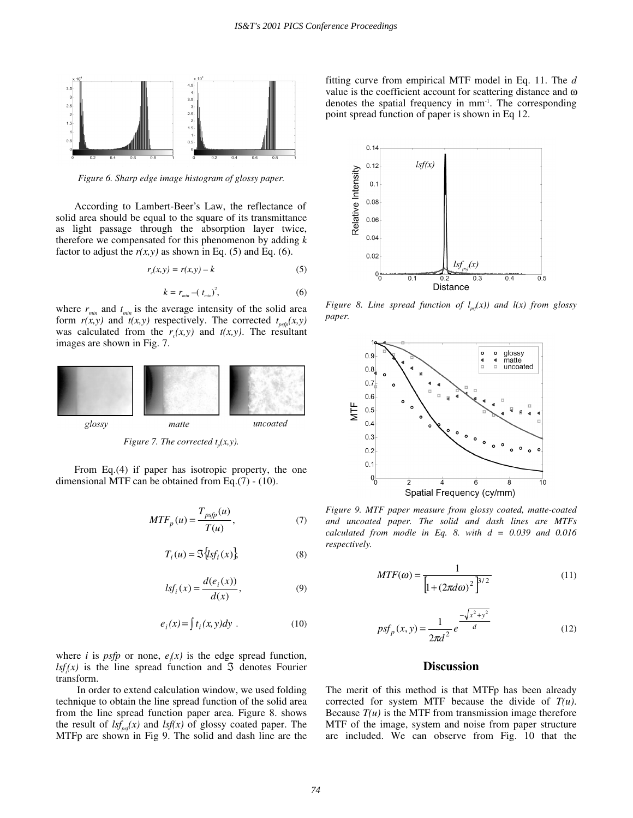

*Figure 6. Sharp edge image histogram of glossy paper.* 

According to Lambert-Beer's Law, the reflectance of solid area should be equal to the square of its transmittance as light passage through the absorption layer twice, therefore we compensated for this phenomenon by adding *k* factor to adjust the  $r(x, y)$  as shown in Eq. (5) and Eq. (6).

$$
r_c(x, y) = r(x, y) - k \tag{5}
$$

$$
k = r_{\min} - (t_{\min})^2,\tag{6}
$$

where  $r_{\min}$  and  $t_{\min}$  is the average intensity of the solid area form  $r(x, y)$  and  $\bar{t}(x, y)$  respectively. The corrected  $t_{psfp}(x, y)$ was calculated from the  $r_c(x, y)$  and  $t(x, y)$ . The resultant images are shown in Fig. 7.



*Figure 7. The corrected*  $t_p(x, y)$ *.* 

From Eq.(4) if paper has isotropic property, the one dimensional MTF can be obtained from Eq.(7) - (10).

$$
MTF_p(u) = \frac{T_{psfp}(u)}{T(u)},
$$
\n(7)

$$
T_i(u) = \mathfrak{S}\big\{lsf_i(x)\big\} \tag{8}
$$

$$
lsf_i(x) = \frac{d(e_i(x))}{d(x)},
$$
\n(9)

$$
e_i(x) = \int t_i(x, y) dy . \tag{10}
$$

where *i* is *psfp* or none,  $e_i(x)$  is the edge spread function,  $lsf_i(x)$  is the line spread function and  $\Im$  denotes Fourier transform.

 In order to extend calculation window, we used folding technique to obtain the line spread function of the solid area from the line spread function paper area. Figure 8. shows the result of  $lsf_{ns}(x)$  and  $lsf(x)$  of glossy coated paper. The MTFp are shown in Fig 9. The solid and dash line are the fitting curve from empirical MTF model in Eq. 11. The *d* value is the coefficient account for scattering distance and ω denotes the spatial frequency in mm-1. The corresponding point spread function of paper is shown in Eq 12.



*Figure 8. Line spread function of*  $l_{\text{ref}}(x)$  *and*  $l(x)$  *from glossy paper.* 



*Figure 9. MTF paper measure from glossy coated, matte-coated and uncoated paper. The solid and dash lines are MTFs calculated from modle in Eq. 8. with d = 0.039 and 0.016 respectively.* 

*MTF*

$$
MTF(\omega) = \frac{1}{\left[1 + (2\pi d\omega)^2\right]^{3/2}}
$$
(11)

$$
psf_p(x, y) = \frac{1}{2\pi d^2} e^{\frac{-\sqrt{x^2 + y^2}}{d}}
$$
 (12)

# **Discussion**

The merit of this method is that MTFp has been already corrected for system MTF because the divide of *T(u)*. Because  $T(u)$  is the MTF from transmission image therefore MTF of the image, system and noise from paper structure are included. We can observe from Fig. 10 that the